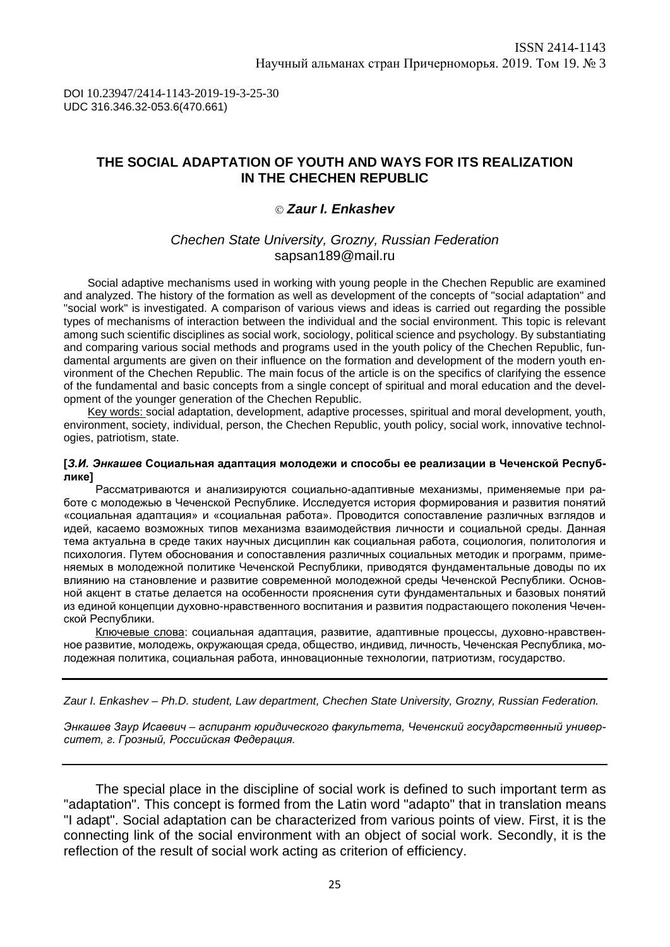DOI 10.23947/2414-1143-2019-19-3-25-30 UDC 316.346.32-053.6(470.661)

# **THE SOCIAL ADAPTATION OF YOUTH AND WAYS FOR ITS REALIZATION IN THE CHECHEN REPUBLIC**

### *Zaur I. Enkashev*

## *Chechen State University, Grozny, Russian Federation* [sapsan189@mail.ru](mailto:sapsan189@mail.ru)

Social adaptive mechanisms used in working with young people in the Chechen Republic are examined and analyzed. The history of the formation as well as development of the concepts of "social adaptation" and "social work" is investigated. A comparison of various views and ideas is carried out regarding the possible types of mechanisms of interaction between the individual and the social environment. This topic is relevant among such scientific disciplines as social work, sociology, political science and psychology. By substantiating and comparing various social methods and programs used in the youth policy of the Chechen Republic, fundamental arguments are given on their influence on the formation and development of the modern youth environment of the Chechen Republic. The main focus of the article is on the specifics of clarifying the essence of the fundamental and basic concepts from a single concept of spiritual and moral education and the development of the younger generation of the Chechen Republic.

Key words: social adaptation, development, adaptive processes, spiritual and moral development, youth, environment, society, individual, person, the Chechen Republic, youth policy, social work, innovative technologies, patriotism, state.

#### **[***З.И. Энкашев* **Социальная адаптация молодежи и способы ее реализации в Чеченской Республике]**

Рассматриваются и анализируются социально-адаптивные механизмы, применяемые при работе с молодежью в Чеченской Республике. Исследуется история формирования и развития понятий «социальная адаптация» и «социальная работа». Проводится сопоставление различных взглядов и идей, касаемо возможных типов механизма взаимодействия личности и социальной среды. Данная тема актуальна в среде таких научных дисциплин как социальная работа, социология, политология и психология. Путем обоснования и сопоставления различных социальных методик и программ, применяемых в молодежной политике Чеченской Республики, приводятся фундаментальные доводы по их влиянию на становление и развитие современной молодежной среды Чеченской Республики. Основной акцент в статье делается на особенности прояснения сути фундаментальных и базовых понятий из единой концепции духовно-нравственного воспитания и развития подрастающего поколения Чеченской Республики.

Ключевые слова: социальная адаптация, развитие, адаптивные процессы, духовно-нравственное развитие, молодежь, окружающая среда, общество, индивид, личность, Чеченская Республика, молодежная политика, социальная работа, инновационные технологии, патриотизм, государство.

*Zaur I. Enkashev – Ph.D. student, Law department, Chechen State University, Grozny, Russian Federation.*

*Энкашев Заур Исаевич – аспирант юридического факультета, Чеченский государственный университет, г. Грозный, Российская Федерация.* 

The special place in the discipline of social work is defined to such important term as "adaptation". This concept is formed from the Latin word "adapto" that in translation means "I adapt". Social adaptation can be characterized from various points of view. First, it is the connecting link of the social environment with an object of social work. Secondly, it is the reflection of the result of social work acting as criterion of efficiency.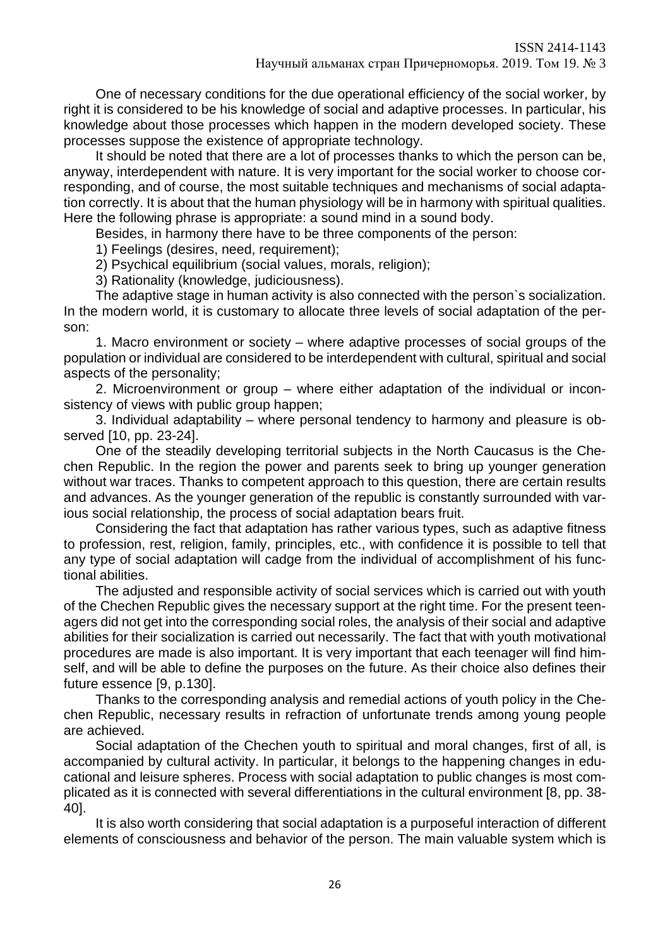One of necessary conditions for the due operational efficiency of the social worker, by right it is considered to be his knowledge of social and adaptive processes. In particular, his knowledge about those processes which happen in the modern developed society. These processes suppose the existence of appropriate technology.

It should be noted that there are a lot of processes thanks to which the person can be, anyway, interdependent with nature. It is very important for the social worker to choose corresponding, and of course, the most suitable techniques and mechanisms of social adaptation correctly. It is about that the human physiology will be in harmony with spiritual qualities. Here the following phrase is appropriate: a sound mind in a sound body.

Besides, in harmony there have to be three components of the person:

1) Feelings (desires, need, requirement);

2) Psychical equilibrium (social values, morals, religion);

3) Rationality (knowledge, judiciousness).

The adaptive stage in human activity is also connected with the person`s socialization. In the modern world, it is customary to allocate three levels of social adaptation of the person:

1. Macro environment or society – where adaptive processes of social groups of the population or individual are considered to be interdependent with cultural, spiritual and social aspects of the personality;

2. Microenvironment or group – where either adaptation of the individual or inconsistency of views with public group happen;

3. Individual adaptability – where personal tendency to harmony and pleasure is observed [10, pp. 23-24].

One of the steadily developing territorial subjects in the North Caucasus is the Chechen Republic. In the region the power and parents seek to bring up younger generation without war traces. Thanks to competent approach to this question, there are certain results and advances. As the younger generation of the republic is constantly surrounded with various social relationship, the process of social adaptation bears fruit.

Considering the fact that adaptation has rather various types, such as adaptive fitness to profession, rest, religion, family, principles, etc., with confidence it is possible to tell that any type of social adaptation will cadge from the individual of accomplishment of his functional abilities.

The adjusted and responsible activity of social services which is carried out with youth of the Chechen Republic gives the necessary support at the right time. For the present teenagers did not get into the corresponding social roles, the analysis of their social and adaptive abilities for their socialization is carried out necessarily. The fact that with youth motivational procedures are made is also important. It is very important that each teenager will find himself, and will be able to define the purposes on the future. As their choice also defines their future essence [9, p.130].

Thanks to the corresponding analysis and remedial actions of youth policy in the Chechen Republic, necessary results in refraction of unfortunate trends among young people are achieved.

Social adaptation of the Chechen youth to spiritual and moral changes, first of all, is accompanied by cultural activity. In particular, it belongs to the happening changes in educational and leisure spheres. Process with social adaptation to public changes is most complicated as it is connected with several differentiations in the cultural environment [8, pp. 38- 40].

It is also worth considering that social adaptation is a purposeful interaction of different elements of consciousness and behavior of the person. The main valuable system which is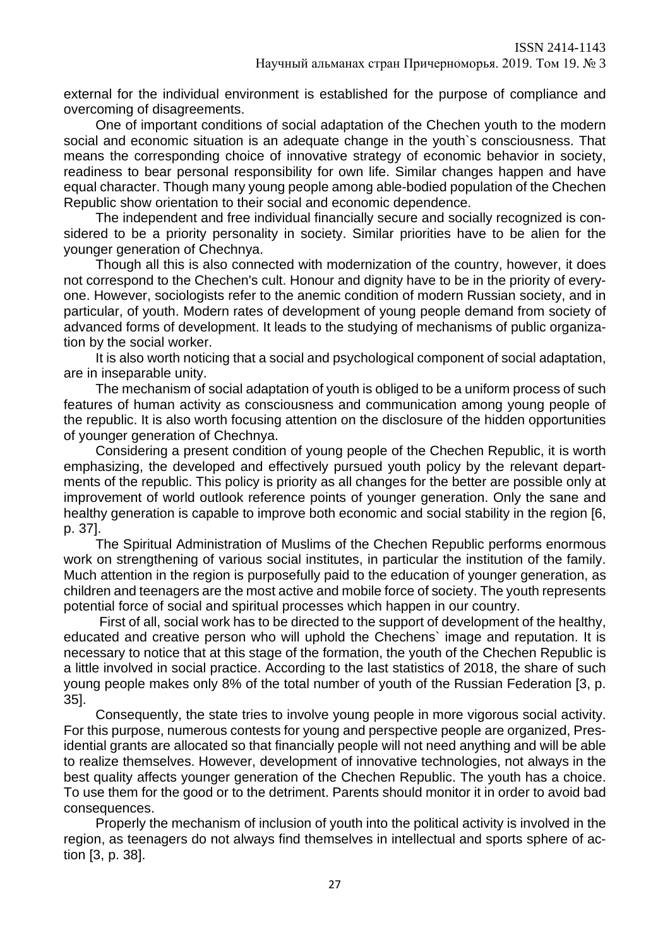external for the individual environment is established for the purpose of compliance and overcoming of disagreements.

One of important conditions of social adaptation of the Chechen youth to the modern social and economic situation is an adequate change in the youth`s consciousness. That means the corresponding choice of innovative strategy of economic behavior in society, readiness to bear personal responsibility for own life. Similar changes happen and have equal character. Though many young people among able-bodied population of the Chechen Republic show orientation to their social and economic dependence.

The independent and free individual financially secure and socially recognized is considered to be a priority personality in society. Similar priorities have to be alien for the younger generation of Chechnya.

Though all this is also connected with modernization of the country, however, it does not correspond to the Chechen's cult. Honour and dignity have to be in the priority of everyone. However, sociologists refer to the anemic condition of modern Russian society, and in particular, of youth. Modern rates of development of young people demand from society of advanced forms of development. It leads to the studying of mechanisms of public organization by the social worker.

It is also worth noticing that a social and psychological component of social adaptation, are in inseparable unity.

The mechanism of social adaptation of youth is obliged to be a uniform process of such features of human activity as consciousness and communication among young people of the republic. It is also worth focusing attention on the disclosure of the hidden opportunities of younger generation of Chechnya.

Considering a present condition of young people of the Chechen Republic, it is worth emphasizing, the developed and effectively pursued youth policy by the relevant departments of the republic. This policy is priority as all changes for the better are possible only at improvement of world outlook reference points of younger generation. Only the sane and healthy generation is capable to improve both economic and social stability in the region [6, p. 37].

The Spiritual Administration of Muslims of the Chechen Republic performs enormous work on strengthening of various social institutes, in particular the institution of the family. Much attention in the region is purposefully paid to the education of younger generation, as children and teenagers are the most active and mobile force of society. The youth represents potential force of social and spiritual processes which happen in our country.

First of all, social work has to be directed to the support of development of the healthy, educated and creative person who will uphold the Chechens` image and reputation. It is necessary to notice that at this stage of the formation, the youth of the Chechen Republic is a little involved in social practice. According to the last statistics of 2018, the share of such young people makes only 8% of the total number of youth of the Russian Federation [3, p. 35].

Consequently, the state tries to involve young people in more vigorous social activity. For this purpose, numerous contests for young and perspective people are organized, Presidential grants are allocated so that financially people will not need anything and will be able to realize themselves. However, development of innovative technologies, not always in the best quality affects younger generation of the Chechen Republic. The youth has a choice. To use them for the good or to the detriment. Parents should monitor it in order to avoid bad consequences.

Properly the mechanism of inclusion of youth into the political activity is involved in the region, as teenagers do not always find themselves in intellectual and sports sphere of action [3, p. 38].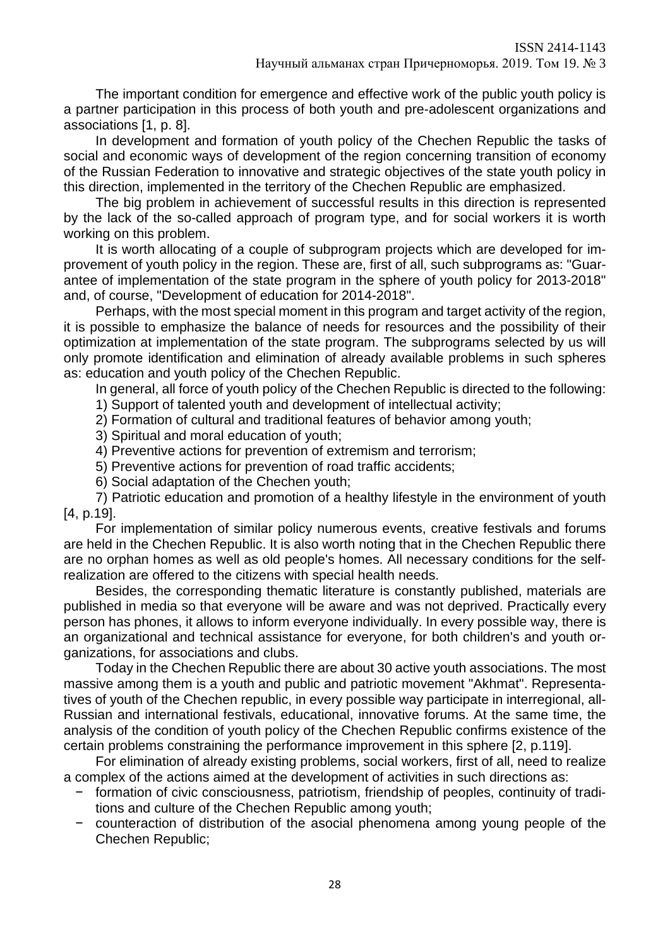The important condition for emergence and effective work of the public youth policy is a partner participation in this process of both youth and pre-adolescent organizations and associations [1, p. 8].

In development and formation of youth policy of the Chechen Republic the tasks of social and economic ways of development of the region concerning transition of economy of the Russian Federation to innovative and strategic objectives of the state youth policy in this direction, implemented in the territory of the Chechen Republic are emphasized.

The big problem in achievement of successful results in this direction is represented by the lack of the so-called approach of program type, and for social workers it is worth working on this problem.

It is worth allocating of a couple of subprogram projects which are developed for improvement of youth policy in the region. These are, first of all, such subprograms as: "Guarantee of implementation of the state program in the sphere of youth policy for 2013-2018" and, of course, "Development of education for 2014-2018".

Perhaps, with the most special moment in this program and target activity of the region, it is possible to emphasize the balance of needs for resources and the possibility of their optimization at implementation of the state program. The subprograms selected by us will only promote identification and elimination of already available problems in such spheres as: education and youth policy of the Chechen Republic.

In general, all force of youth policy of the Chechen Republic is directed to the following:

1) Support of talented youth and development of intellectual activity;

2) Formation of cultural and traditional features of behavior among youth;

- 3) Spiritual and moral education of youth;
- 4) Preventive actions for prevention of extremism and terrorism;

5) Preventive actions for prevention of road traffic accidents;

6) Social adaptation of the Chechen youth;

7) Patriotic education and promotion of a healthy lifestyle in the environment of youth [4, p.19].

For implementation of similar policy numerous events, creative festivals and forums are held in the Chechen Republic. It is also worth noting that in the Chechen Republic there are no orphan homes as well as old people's homes. All necessary conditions for the selfrealization are offered to the citizens with special health needs.

Besides, the corresponding thematic literature is constantly published, materials are published in media so that everyone will be aware and was not deprived. Practically every person has phones, it allows to inform everyone individually. In every possible way, there is an organizational and technical assistance for everyone, for both children's and youth organizations, for associations and clubs.

Today in the Chechen Republic there are about 30 active youth associations. The most massive among them is a youth and public and patriotic movement "Akhmat". Representatives of youth of the Chechen republic, in every possible way participate in interregional, all-Russian and international festivals, educational, innovative forums. At the same time, the analysis of the condition of youth policy of the Chechen Republic confirms existence of the certain problems constraining the performance improvement in this sphere [2, p.119].

For elimination of already existing problems, social workers, first of all, need to realize a complex of the actions aimed at the development of activities in such directions as:

- − formation of civic consciousness, patriotism, friendship of peoples, continuity of traditions and culture of the Chechen Republic among youth;
- − counteraction of distribution of the asocial phenomena among young people of the Chechen Republic;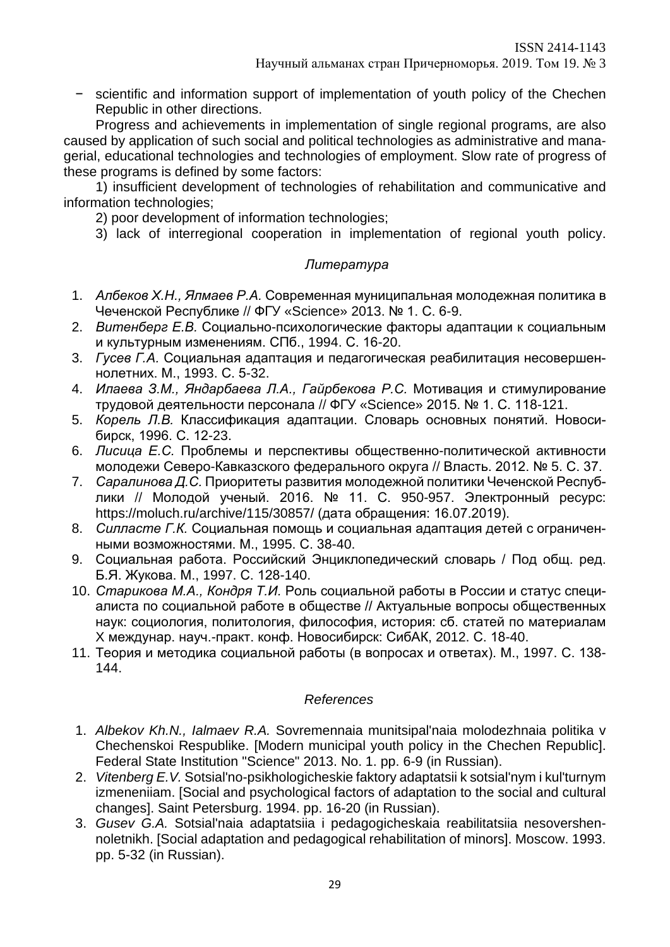− scientific and information support of implementation of youth policy of the Chechen Republic in other directions.

Progress and achievements in implementation of single regional programs, are also caused by application of such social and political technologies as administrative and managerial, educational technologies and technologies of employment. Slow rate of progress of these programs is defined by some factors:

1) insufficient development of technologies of rehabilitation and communicative and information technologies;

2) poor development of information technologies;

3) lack of interregional cooperation in implementation of regional youth policy.

# *Литература*

- 1. *Албеков Х.Н., Ялмаев Р.А.* Современная муниципальная молодежная политика в Чеченской Республике // ФГУ «Science» 2013. № 1. С. 6-9.
- 2. *Витенберг Е.В.* Социально-психологические факторы адаптации к социальным и культурным изменениям. СПб., 1994. С. 16-20.
- 3. *Гусев Г.А.* Социальная адаптация и педагогическая реабилитация несовершеннолетних. М., 1993. С. 5-32.
- 4. *Илаева З.М., Яндарбаева Л.А., Гайрбекова Р.С.* Мотивация и стимулирование трудовой деятельности персонала // ФГУ «Science» 2015. № 1. С. 118-121.
- 5. *Корель Л.В.* Классификация адаптации. Словарь основных понятий. Новосибирск, 1996. С. 12-23.
- 6. *Лисица Е.С.* Проблемы и перспективы общественно-политической активности молодежи Северо-Кавказского федерального округа // Власть. 2012. № 5. С. 37.
- 7. *Саралинова Д.С.* Приоритеты развития молодежной политики Чеченской Республики // Молодой ученый. 2016. № 11. С. 950-957. Электронный ресурс: https://moluch.ru/archive/115/30857/ (дата обращения: 16.07.2019).
- 8. *Силласте Г.К.* Социальная помощь и социальная адаптация детей с ограниченными возможностями. М., 1995. С. 38-40.
- 9. Социальная работа. Российский Энциклопедический словарь / Под общ. ред. Б.Я. Жукова. М., 1997. С. 128-140.
- 10. *Старикова М.А., Кондря Т.И.* Роль социальной работы в России и статус специалиста по социальной работе в обществе // Актуальные вопросы общественных наук: социология, политология, философия, история: сб. статей по материалам X междунар. науч.-практ. конф. Новосибирск: СибАК, 2012. С. 18-40.
- 11. Теория и методика социальной работы (в вопросах и ответах). М., 1997. С. 138- 144.

### *References*

- 1. *Albekov Kh.N., Ialmaev R.A.* Sovremennaia munitsipal'naia molodezhnaia politika v Chechenskoi Respublike. [Modern municipal youth policy in the Chechen Republic]. Federal State Institution "Science" 2013. No. 1. pp. 6-9 (in Russian).
- 2. *Vitenberg E.V.* Sotsial'no-psikhologicheskie faktory adaptatsii k sotsial'nym i kul'turnym izmeneniiam. [Social and psychological factors of adaptation to the social and cultural changes]. Saint Petersburg. 1994. pp. 16-20 (in Russian).
- 3. *Gusev G.A.* Sotsial'naia adaptatsiia i pedagogicheskaia reabilitatsiia nesovershennoletnikh. [Social adaptation and pedagogical rehabilitation of minors]. Moscow. 1993. pp. 5-32 (in Russian).